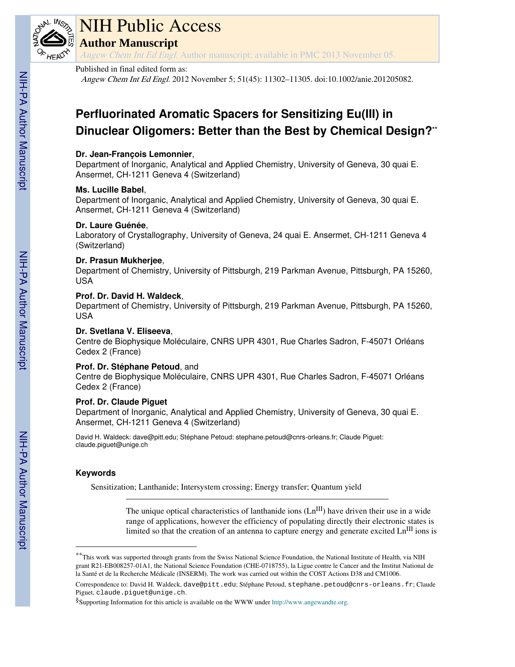

# NIH Public Access

**Author Manuscript**

Angew Chem Int Ed Engl. Author manuscript; available in PMC 2013 November 05.

#### Published in final edited form as:

Angew Chem Int Ed Engl. 2012 November 5; 51(45): 11302–11305. doi:10.1002/anie.201205082.

## **Perfluorinated Aromatic Spacers for Sensitizing Eu(III) in Dinuclear Oligomers: Better than the Best by Chemical Design?\*\***

#### **Dr. Jean-François Lemonnier**,

Department of Inorganic, Analytical and Applied Chemistry, University of Geneva, 30 quai E. Ansermet, CH-1211 Geneva 4 (Switzerland)

#### **Ms. Lucille Babel**,

Department of Inorganic, Analytical and Applied Chemistry, University of Geneva, 30 quai E. Ansermet, CH-1211 Geneva 4 (Switzerland)

#### **Dr. Laure Guénée**,

Laboratory of Crystallography, University of Geneva, 24 quai E. Ansermet, CH-1211 Geneva 4 (Switzerland)

#### **Dr. Prasun Mukherjee**,

Department of Chemistry, University of Pittsburgh, 219 Parkman Avenue, Pittsburgh, PA 15260, USA

#### **Prof. Dr. David H. Waldeck**,

Department of Chemistry, University of Pittsburgh, 219 Parkman Avenue, Pittsburgh, PA 15260, USA

#### **Dr. Svetlana V. Eliseeva**,

Centre de Biophysique Moléculaire, CNRS UPR 4301, Rue Charles Sadron, F-45071 Orléans Cedex 2 (France)

#### **Prof. Dr. Stéphane Petoud**, and

Centre de Biophysique Moléculaire, CNRS UPR 4301, Rue Charles Sadron, F-45071 Orléans Cedex 2 (France)

### **Prof. Dr. Claude Piguet**

Department of Inorganic, Analytical and Applied Chemistry, University of Geneva, 30 quai E. Ansermet, CH-1211 Geneva 4 (Switzerland)

David H. Waldeck: dave@pitt.edu; Stéphane Petoud: stephane.petoud@cnrs-orleans.fr; Claude Piguet: claude.piguet@unige.ch

### **Keywords**

Sensitization; Lanthanide; Intersystem crossing; Energy transfer; Quantum yield

The unique optical characteristics of lanthanide ions  $(Ln^{III})$  have driven their use in a wide range of applications, however the efficiency of populating directly their electronic states is limited so that the creation of an antenna to capture energy and generate excited  $Ln$ <sup>III</sup> ions is

<sup>\*\*</sup>This work was supported through grants from the Swiss National Science Foundation, the National Institute of Health, via NIH grant R21-EB008257-01A1, the National Science Foundation (CHE-0718755), la Ligue contre le Cancer and the Institut National de la Santé et de la Recherche Médicale (INSERM). The work was carried out within the COST Actions D38 and CM1006.

Correspondence to: David H. Waldeck, dave@pitt.edu; Stéphane Petoud, stephane.petoud@cnrs-orleans.fr; Claude Piguet, claude.piguet@unige.ch.

<sup>§</sup>Supporting Information for this article is available on the WWW under http://www.angewandte.org.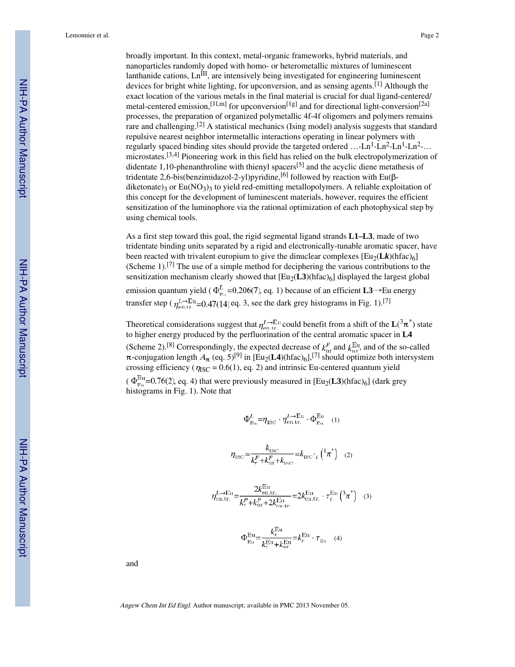broadly important. In this context, metal-organic frameworks, hybrid materials, and nanoparticles randomly doped with homo- or heterometallic mixtures of luminescent lanthanide cations, Ln<sup>III</sup>, are intensively being investigated for engineering luminescent devices for bright white lighting, for upconversion, and as sensing agents.<sup>[1]</sup> Although the exact location of the various metals in the final material is crucial for dual ligand-centered/ metal-centered emission,<sup>[11,m]</sup> for upconversion<sup>[1g]</sup> and for directional light-conversion<sup>[2a]</sup> processes, the preparation of organized polymetallic 4f-4f oligomers and polymers remains rare and challenging.[2] A statistical mechanics (Ising model) analysis suggests that standard repulsive nearest neighbor intermetallic interactions operating in linear polymers with regularly spaced binding sites should provide the targeted ordered ...- $Ln^1$ - $Ln^2$ - $Ln^1$ - $Ln^2$ -... microstates.<sup>[3,4]</sup> Pioneering work in this field has relied on the bulk electropolymerization of didentate 1,10-phenanthroline with thienyl spacers[5] and the acyclic diene metathesis of tridentate 2,6-bis(benzimidazol-2-yl)pyridine,<sup>[6]</sup> followed by reaction with Eu( $\beta$ diketonate)<sub>3</sub> or Eu(NO<sub>3</sub>)<sub>3</sub> to yield red-emitting metallopolymers. A reliable exploitation of this concept for the development of luminescent materials, however, requires the efficient sensitization of the luminophore via the rational optimization of each photophysical step by using chemical tools.

As a first step toward this goal, the rigid segmental ligand strands **L1–L3**, made of two tridentate binding units separated by a rigid and electronically-tunable aromatic spacer, have been reacted with trivalent europium to give the dinuclear complexes  $\left[\text{Eu}_{2}(\mathbf{L}\mathbf{k})\right]$ (hfac)<sub>6</sub>] (Scheme 1).<sup>[7]</sup> The use of a simple method for deciphering the various contributions to the sensitization mechanism clearly showed that  $[Eu_2(L3)(hfac)_{6}]$  displayed the largest global emission quantum yield ( $\Phi_{\text{E}_{1}}^{L}$ =0.206(7), eq. 1) because of an efficient **L3**→Eu energy transfer step ( $\eta_{\text{en,tr.}}^{L\to\text{Eu}}$ =0.47(14) eq. 3, see the dark grey histograms in Fig. 1).<sup>[7]</sup>

Theoretical considerations suggest that  $\eta_{\text{on tr}}^{L\to\text{Eu}}$  could benefit from a shift of the  $\mathbf{L}(^3\pi^*)$  state to higher energy produced by the perfluorination of the central aromatic spacer in **L4** (Scheme 2).<sup>[8]</sup> Correspondingly, the expected decrease of  $k_{nr}^{F}$  and  $k_{nr}^{Eu}$ , and of the so-called  $\pi$ -conjugation length  $A_{\pi}$  (eq. 5)<sup>[9]</sup> in [Eu<sub>2</sub>(**L4**)(hfac)<sub>6</sub>],<sup>[7]</sup> should optimize both intersystem crossing efficiency ( $\eta_{\text{ISC}} = 0.6(1)$ , eq. 2) and intrinsic Eu-centered quantum yield  $(\Phi_{\text{Eu}}^{\text{Eu}}=0.76(2), \text{eq. 4})$  that were previously measured in  $[\text{Eu}_2(L3)(\text{hfac})_6]$  (dark grey

histograms in Fig. 1). Note that

$$
\Phi_{\text{Eu}}^L = \eta_{\text{ISC}} \cdot \eta_{\text{en.tr.}}^{L \to \text{Eu}} \cdot \Phi_{\text{Eu}}^{\text{Eu}} \quad (1)
$$

$$
\eta_{\rm 1SC} = \frac{k_{\rm 1SC}}{k_r^F + k_{\rm 1rr}^F + k_{\rm 1SC}} = k_{\rm 1SC} \cdot_L \left( \frac{1}{\pi} \pi \right) \tag{2}
$$

$$
\eta_{\text{en.tr.}}^{L \to \text{Eu}} = \frac{2k_{\text{en.tr.}}^{\text{Eu}}}{k_r^P + k_{\text{nr}}^P + 2k_{\text{en.tr.}}^{\text{Eu}}} = 2k_{\text{en.tr.}}^{\text{Eu}} \cdot \tau_L^{\text{Eu}} \left( {}^3\pi^* \right) \quad (3)
$$

$$
\Phi_{\text{Eu}}^{\text{Eu}} = \frac{k_r^{\text{Eu}}}{k_r^{\text{Eu}} + k_{\text{nr}}^{\text{Eu}}} = k_r^{\text{Eu}} \cdot \tau_{\text{Eu}} \quad (4)
$$

and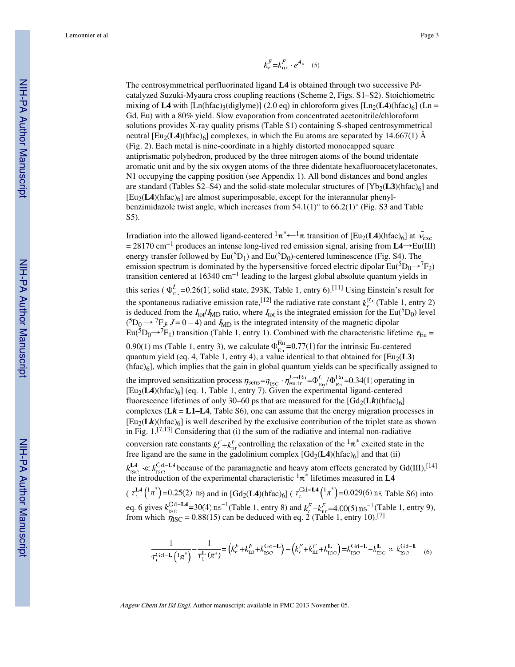$$
k_r^F{=}k_{\rm nr}^F\cdot e^{A_\pi} \quad (5)
$$

The centrosymmetrical perfluorinated ligand **L4** is obtained through two successive Pdcatalyzed Suzuki-Myaura cross coupling reactions (Scheme 2, Figs. S1–S2). Stoichiometric mixing of **L4** with [Ln(hfac)<sub>3</sub>(diglyme)] (2.0 eq) in chloroform gives  $\left[ \text{Ln}_{2}(\text{L4})\text{(hfac)}_{6} \right]$  (Ln = Gd, Eu) with a 80% yield. Slow evaporation from concentrated acetonitrile/chloroform solutions provides X-ray quality prisms (Table S1) containing S-shaped centrosymmetrical neutral  $\text{[Eu}_2(\text{L4})\text{(hfac)}_{6}$  complexes, in which the Eu atoms are separated by 14.667(1) Å (Fig. 2). Each metal is nine-coordinate in a highly distorted monocapped square antiprismatic polyhedron, produced by the three nitrogen atoms of the bound tridentate aromatic unit and by the six oxygen atoms of the three didentate hexafluoroacetylacetonates, N1 occupying the capping position (see Appendix 1). All bond distances and bond angles are standard (Tables S2–S4) and the solid-state molecular structures of  $[Yb_2(L3)(hfac)_6]$  and  $[Eu_2(L4)(hfac)_6]$  are almost superimposable, except for the interannular phenylbenzimidazole twist angle, which increases from  $54.1(1)^\circ$  to  $66.2(1)^\circ$  (Fig. S3 and Table S5).

Irradiation into the allowed ligand-centered  ${}^1\pi^*$  +  ${}^1\pi$  transition of [Eu<sub>2</sub>(**L4**)(hfac)<sub>6</sub>] at  $\bar{v}_{\rm exc}$ = 28170 cm−1 produces an intense long-lived red emission signal, arising from **L4**→Eu(III) energy transfer followed by  $Eu({}^5D_1)$  and  $Eu({}^5D_0)$ -centered luminescence (Fig. S4). The emission spectrum is dominated by the hypersensitive forced electric dipolar  $Eu^{5}D_{0} \rightarrow {}^{7}F_{2}$ ) transition centered at 16340 cm−1 leading to the largest global absolute quantum yields in this series ( $\Phi_{\text{F}_{\text{D}}}^L$ =0.26(1), solid state, 293K, Table 1, entry 6).<sup>[11]</sup> Using Einstein's result for the spontaneous radiative emission rate,<sup>[12]</sup> the radiative rate constant  $k_r^{\text{Eu}}$  (Table 1, entry 2) is deduced from the  $I_{tot}/I_{MD}$  ratio, where  $I_{tot}$  is the integrated emission for the Eu(<sup>5</sup>D<sub>0</sub>) level  $({}^{5}D_0 \rightarrow {}^{7}F_J$ ,  $J = 0 - 4$ ) and  $I_{MD}$  is the integrated intensity of the magnetic dipolar  $Eu^{5}D_{0} \rightarrow {}^{7}F_{1}$ ) transition (Table 1, entry 1). Combined with the characteristic lifetime  $\tau_{Eu}$  = 0.90(1) ms (Table 1, entry 3), we calculate  $\Phi_{F_n}^{\text{Eu}}=0.77(1)$  for the intrinsic Eu-centered quantum yield (eq. 4, Table 1, entry 4), a value identical to that obtained for  $[Eu_2(L3)$ (hfac)6], which implies that the gain in global quantum yields can be specifically assigned to the improved sensitization process  $\eta_{\text{sens}} = \eta_{\text{iso}} \cdot \eta_{\text{ent},r}^{\text{L}\to\text{Eu}} = \Phi_{\text{en}}^L/\Phi_{\text{en}}^{\text{Eu}} = 0.34(1)$  operating in [Eu2(**L4**)(hfac)6] (eq. 1, Table 1, entry 7). Given the experimental ligand-centered fluorescence lifetimes of only 30–60 ps that are measured for the  $[\text{Gd}_2(\mathbf{L}\mathbf{k})(\text{hfac})_6]$ complexes  $(Lk = L1-L4,$  Table S6), one can assume that the energy migration processes in  $[Eu_2(\mathbf{L}k)(\text{hfac})_6]$  is well described by the exclusive contribution of the triplet state as shown in Fig.  $1$ , [7,13] Considering that (i) the sum of the radiative and internal non-radiative conversion rate constants  $k_r^F + k_{nr}^F$  controlling the relaxation of the  $\frac{1}{\pi} \pi^*$  excited state in the free ligand are the same in the gadolinium complex  $[\text{Gd}_2(\text{L4})(\text{hfac})_6]$  and that (ii) because of the paramagnetic and heavy atom effects generated by Gd(III),<sup>[14]</sup> the introduction of the experimental characteristic  ${}^{1}\pi$ <sup>\*</sup> lifetimes measured in **L4**  $(\tau_L^{L4}(\frac{1}{\pi})=0.25(2)$  ns) and in  $[\text{Gd}_2(L4)(\text{hfac})_6]$  ( $\tau_L^{\text{Gd}-L4}(\frac{1}{\pi})=0.029(6)$  ns, Table S6) into eq. 6 gives  $k_{\text{res}}^{\text{U}-1}$  = 30(4) ns<sup>-1</sup> (Table 1, entry 8) and  $k_{\text{res}}^F + k_{\text{res}}^F = 4.00(5)$  ns<sup>-1</sup> (Table 1, entry 9), from which  $\eta_{\text{ISC}} = 0.88(15)$  can be deduced with eq. 2 (Table 1, entry 10).<sup>[7]</sup>

$$
\frac{1}{\tau_L^{\text{Gd}-\text{L}}\left(1\pi^*\right)} - \frac{1}{\tau_L^{\text{L}}\left(\pi^*\right)} = \left(k_r^F + k_{\text{nr}}^F + k_{\text{ISC}}^{\text{Gd}-\text{L}}\right) - \left(k_r^F + k_{\text{nr}}^F + k_{\text{ISC}}^{\text{L}}\right) = k_{\text{ISC}}^{\text{Gd}-\text{L}} - k_{\text{ISC}}^{\text{L}} \approx k_{\text{ISC}}^{\text{Gd}-\text{L}} \tag{6}
$$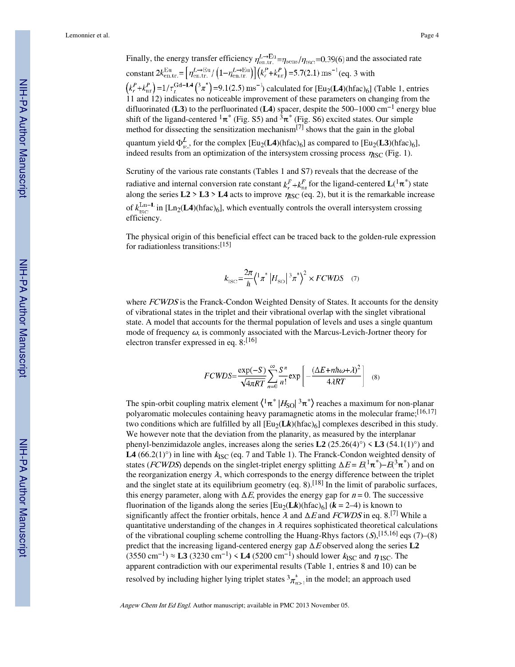Finally, the energy transfer efficiency  $\eta_{\text{ent.}tr.}^{L\to\text{Eu}} = \eta_{\text{sens}}/\eta_{\text{ISC}} = 0.39(6)$  and the associated rate constant  $2k_{\text{en,tr.}}^{\text{Eu}} = \left[\eta_{\text{en,tr.}}^{L \to \text{Eu}} / \left(1 - \eta_{\text{en,tr.}}^{L \to \text{Eu}}\right)\right] \left(k_r^P + k_{\text{nr}}^P\right) = 5.7(2.1) \text{ ms}^{-1}$  (eq. 3 with  $\left(k_r^P + k_{\text{nr}}^P\right) = 1/\tau_r^{\text{Gd}-\textbf{L4}}({}^3\pi^*) = 9.1(2.5) \text{ ms}^{-1}$  calculated for  $\text{[Eu}_2(\textbf{L4})$ (hfac)<sub>6</sub>] (Table 1, entries 11 and 12) indicates no noticeable improvement of these parameters on changing from the difluorinated (**L3**) to the perfluorinated (**L4**) spacer, despite the 500–1000 cm−1 energy blue shift of the ligand-centered  ${}^{1}\pi^*$  (Fig. S5) and  ${}^{3}\pi^*$  (Fig. S6) excited states. Our simple method for dissecting the sensitization mechanism<sup>[7]</sup> shows that the gain in the global quantum yield  $\Phi_{E_1}^L$ , for the complex  $[Eu_2(\mathbf{L4})(\hat{\pi}ac)_6]$  as compared to  $[Eu_2(\mathbf{L3})(\hat{\pi}ac)_6]$ , indeed results from an optimization of the intersystem crossing process  $\eta_{\rm{ISC}}$  (Fig. 1).

Scrutiny of the various rate constants (Tables 1 and S7) reveals that the decrease of the radiative and internal conversion rate constant  $k_r^F + k_{nr}^F$  for the ligand-centered  $\mathbf{L}(\mathbf{1}_{\pi})$  state along the series  $L2 > L3 > L4$  acts to improve  $\eta_{\rm{ISC}}$  (eq. 2), but it is the remarkable increase of  $k_{\text{ISC}}^{\text{Ln}-L}$  in [Ln<sub>2</sub>(**L4**)(hfac)<sub>6</sub>], which eventually controls the overall intersystem crossing efficiency.

The physical origin of this beneficial effect can be traced back to the golden-rule expression for radiationless transitions:[15]

$$
k_{\rm ISC} = \frac{2\pi}{\hbar} \left\langle \frac{1}{\pi} \pi \left| H_{\rm SO} \right| \frac{3\pi}{\pi} \right\rangle^2 \times FCWDS \quad (7)
$$

where FCWDS is the Franck-Condon Weighted Density of States. It accounts for the density of vibrational states in the triplet and their vibrational overlap with the singlet vibrational state. A model that accounts for the thermal population of levels and uses a single quantum mode of frequency  $\omega$ , is commonly associated with the Marcus-Levich-Jortner theory for electron transfer expressed in eq. 8:[16]

$$
FCWDS = \frac{\exp(-S)}{\sqrt{4\pi RT}} \sum_{n=0}^{\infty} \frac{S^n}{n!} \exp\left[-\frac{(\Delta E + n\hbar\omega + \lambda)^2}{4\lambda RT}\right]
$$
 (8)

The spin-orbit coupling matrix element  $\langle^1\pi^* \, |H_\text{SO}|^3 \pi^* \rangle$  reaches a maximum for non-planar polyaromatic molecules containing heavy paramagnetic atoms in the molecular frame;<sup>[16,17]</sup> two conditions which are fulfilled by all  $\left[\text{Eu}_2(\mathbf{L}\mathbf{k})\right]$  complexes described in this study. We however note that the deviation from the planarity, as measured by the interplanar phenyl-benzimidazole angles, increases along the series  $L2(25.26(4)°) < L3(54.1(1)°)$  and **L4** (66.2(1)<sup>o</sup>) in line with  $k_{\text{ISC}}$  (eq. 7 and Table 1). The Franck-Condon weighted density of states (*FCWDS*) depends on the singlet-triplet energy splitting  $\Delta E = E^{(\frac{1}{n})} - E^{(\frac{3}{n})}$  and on the reorganization energy  $\lambda$ , which corresponds to the energy difference between the triplet and the singlet state at its equilibrium geometry (eq.  $8$ ).<sup>[18]</sup> In the limit of parabolic surfaces, this energy parameter, along with  $\Delta E$ , provides the energy gap for  $n = 0$ . The successive fluorination of the ligands along the series  $\left[\text{Eu}_{2}(\mathbf{L}k)(\text{hfac})_{6}\right]$  ( $k = 2-4$ ) is known to significantly affect the frontier orbitals, hence  $\lambda$  and  $\Delta E$  and  $FCWDS$  in eq. 8.<sup>[7]</sup> While a quantitative understanding of the changes in  $\lambda$  requires sophisticated theoretical calculations of the vibrational coupling scheme controlling the Huang-Rhys factors  $(S)$ , [15,16] eqs (7)–(8) predict that the increasing ligand-centered energy gap ΔE observed along the series **L2**  $(3550 \text{ cm}^{-1}) \approx L3 (3230 \text{ cm}^{-1}) < L4 (5200 \text{ cm}^{-1})$  should lower k<sub>ISC</sub> and  $\eta_{\text{ISC}}$ . The apparent contradiction with our experimental results (Table 1, entries 8 and 10) can be resolved by including higher lying triplet states  $\frac{3\pi_{n>1}^{*}}{n}$  in the model; an approach used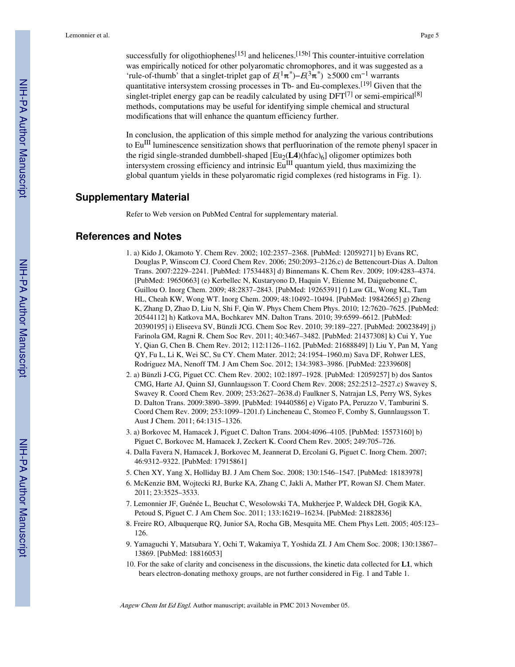successfully for oligothiophenes<sup>[15]</sup> and helicenes.<sup>[15b]</sup> This counter-intuitive correlation was empirically noticed for other polyaromatic chromophores, and it was suggested as a 'rule-of-thumb' that a singlet-triplet gap of  $E(\frac{1}{\pi})-E(\frac{3\pi}{\pi}) \ge 5000 \text{ cm}^{-1}$  warrants quantitative intersystem crossing processes in Tb- and Eu-complexes.<sup>[19]</sup> Given that the singlet-triplet energy gap can be readily calculated by using  $DFT^{[7]}$  or semi-empirical<sup>[8]</sup> methods, computations may be useful for identifying simple chemical and structural modifications that will enhance the quantum efficiency further.

In conclusion, the application of this simple method for analyzing the various contributions to  $Eu^{III}$  luminescence sensitization shows that perfluorination of the remote phenyl spacer in the rigid single-stranded dumbbell-shaped  $[Eu_2(\mathbf{L4})$ (hfac)<sub>6</sub>] oligomer optimizes both intersystem crossing efficiency and intrinsic  $Eu^{III}$  quantum yield, thus maximizing the global quantum yields in these polyaromatic rigid complexes (red histograms in Fig. 1).

#### **Supplementary Material**

Refer to Web version on PubMed Central for supplementary material.

#### **References and Notes**

- 1. a) Kido J, Okamoto Y. Chem Rev. 2002; 102:2357–2368. [PubMed: 12059271] b) Evans RC, Douglas P, Winscom CJ. Coord Chem Rev. 2006; 250:2093–2126.c) de Bettencourt-Dias A. Dalton Trans. 2007:2229–2241. [PubMed: 17534483] d) Binnemans K. Chem Rev. 2009; 109:4283–4374. [PubMed: 19650663] (e) Kerbellec N, Kustaryono D, Haquin V, Etienne M, Daiguebonne C, Guillou O. Inorg Chem. 2009; 48:2837–2843. [PubMed: 19265391] f) Law GL, Wong KL, Tam HL, Cheah KW, Wong WT. Inorg Chem. 2009; 48:10492–10494. [PubMed: 19842665] g) Zheng K, Zhang D, Zhao D, Liu N, Shi F, Qin W. Phys Chem Chem Phys. 2010; 12:7620–7625. [PubMed: 20544112] h) Katkova MA, Bochkarev MN. Dalton Trans. 2010; 39:6599–6612. [PubMed: 20390195] i) Eliseeva SV, Bünzli JCG. Chem Soc Rev. 2010; 39:189–227. [PubMed: 20023849] j) Farinola GM, Ragni R. Chem Soc Rev. 2011; 40:3467–3482. [PubMed: 21437308] k) Cui Y, Yue Y, Qian G, Chen B. Chem Rev. 2012; 112:1126–1162. [PubMed: 21688849] l) Liu Y, Pan M, Yang QY, Fu L, Li K, Wei SC, Su CY. Chem Mater. 2012; 24:1954–1960.m) Sava DF, Rohwer LES, Rodriguez MA, Nenoff TM. J Am Chem Soc. 2012; 134:3983–3986. [PubMed: 22339608]
- 2. a) Bünzli J-CG, Piguet CC. Chem Rev. 2002; 102:1897–1928. [PubMed: 12059257] b) dos Santos CMG, Harte AJ, Quinn SJ, Gunnlaugsson T. Coord Chem Rev. 2008; 252:2512–2527.c) Swavey S, Swavey R. Coord Chem Rev. 2009; 253:2627–2638.d) Faulkner S, Natrajan LS, Perry WS, Sykes D. Dalton Trans. 2009:3890–3899. [PubMed: 19440586] e) Vigato PA, Peruzzo V, Tamburini S. Coord Chem Rev. 2009; 253:1099–1201.f) Lincheneau C, Stomeo F, Comby S, Gunnlaugsson T. Aust J Chem. 2011; 64:1315–1326.
- 3. a) Borkovec M, Hamacek J, Piguet C. Dalton Trans. 2004:4096–4105. [PubMed: 15573160] b) Piguet C, Borkovec M, Hamacek J, Zeckert K. Coord Chem Rev. 2005; 249:705–726.
- 4. Dalla Favera N, Hamacek J, Borkovec M, Jeannerat D, Ercolani G, Piguet C. Inorg Chem. 2007; 46:9312–9322. [PubMed: 17915861]
- 5. Chen XY, Yang X, Holliday BJ. J Am Chem Soc. 2008; 130:1546–1547. [PubMed: 18183978]
- 6. McKenzie BM, Wojtecki RJ, Burke KA, Zhang C, Jakli A, Mather PT, Rowan SJ. Chem Mater. 2011; 23:3525–3533.
- 7. Lemonnier JF, Guénée L, Beuchat C, Wesolowski TA, Mukherjee P, Waldeck DH, Gogik KA, Petoud S, Piguet C. J Am Chem Soc. 2011; 133:16219–16234. [PubMed: 21882836]
- 8. Freire RO, Albuquerque RQ, Junior SA, Rocha GB, Mesquita ME. Chem Phys Lett. 2005; 405:123– 126.
- 9. Yamaguchi Y, Matsubara Y, Ochi T, Wakamiya T, Yoshida ZI. J Am Chem Soc. 2008; 130:13867– 13869. [PubMed: 18816053]
- 10. For the sake of clarity and conciseness in the discussions, the kinetic data collected for **L1**, which bears electron-donating methoxy groups, are not further considered in Fig. 1 and Table 1.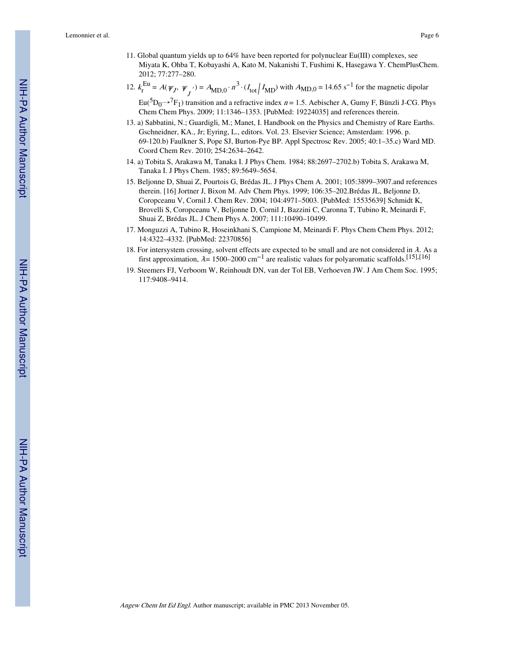Lemonnier et al. Page 6

- 11. Global quantum yields up to 64% have been reported for polynuclear Eu(III) complexes, see Miyata K, Ohba T, Kobayashi A, Kato M, Nakanishi T, Fushimi K, Hasegawa Y. ChemPlusChem. 2012; 77:277–280.
- 12.  $k_{\rm r}$  $E_u^{\text{Eu}} = A(\psi_J, \psi_J) = A_{\text{MD},0} \cdot n^3 \cdot (I_{\text{tot}} / I_{\text{MD}})$  with  $A_{\text{MD},0} = 14.65 \text{ s}^{-1}$  for the magnetic dipolar

 $Eu(^5D_0 \rightarrow ^7F_1)$  transition and a refractive index  $n = 1.5$ . Aebischer A, Gumy F, Bünzli J-CG. Phys Chem Chem Phys. 2009; 11:1346–1353. [PubMed: 19224035] and references therein.

- 13. a) Sabbatini, N.; Guardigli, M.; Manet, I. Handbook on the Physics and Chemistry of Rare Earths. Gschneidner, KA., Jr; Eyring, L., editors. Vol. 23. Elsevier Science; Amsterdam: 1996. p. 69-120.b) Faulkner S, Pope SJ, Burton-Pye BP. Appl Spectrosc Rev. 2005; 40:1–35.c) Ward MD. Coord Chem Rev. 2010; 254:2634–2642.
- 14. a) Tobita S, Arakawa M, Tanaka I. J Phys Chem. 1984; 88:2697–2702.b) Tobita S, Arakawa M, Tanaka I. J Phys Chem. 1985; 89:5649–5654.
- 15. Beljonne D, Shuai Z, Pourtois G, Brédas JL. J Phys Chem A. 2001; 105:3899–3907.and references therein. [16] Jortner J, Bixon M. Adv Chem Phys. 1999; 106:35–202.Brédas JL, Beljonne D, Coropceanu V, Cornil J. Chem Rev. 2004; 104:4971–5003. [PubMed: 15535639] Schmidt K, Brovelli S, Coropceanu V, Beljonne D, Cornil J, Bazzini C, Caronna T, Tubino R, Meinardi F, Shuai Z, Brédas JL. J Chem Phys A. 2007; 111:10490–10499.
- 17. Monguzzi A, Tubino R, Hoseinkhani S, Campione M, Meinardi F. Phys Chem Chem Phys. 2012; 14:4322–4332. [PubMed: 22370856]
- 18. For intersystem crossing, solvent effects are expected to be small and are not considered in  $\lambda$ . As a first approximation,  $\lambda = 1500-2000 \text{ cm}^{-1}$  are realistic values for polyaromatic scaffolds.<sup>[15],[16]</sup>
- 19. Steemers FJ, Verboom W, Reinhoudt DN, van der Tol EB, Verhoeven JW. J Am Chem Soc. 1995; 117:9408–9414.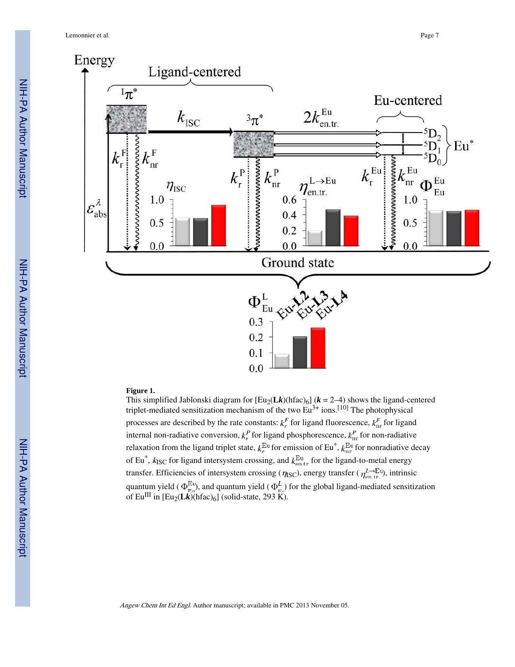

#### **Figure 1.**

This simplified Jablonski diagram for  $[Eu_2(\mathbf{L}k)(\hat{\pi}ac)_6]$  ( $k = 2-4$ ) shows the ligand-centered triplet-mediated sensitization mechanism of the two  $Eu^{3+}$  ions.<sup>[10]</sup> The photophysical processes are described by the rate constants:  $k_r^F$  for ligand fluorescence,  $k_{nr}^F$  for ligand internal non-radiative conversion,  $k_r^P$  for ligand phosphorescence,  $k_{nr}^P$  for non-radiative relaxation from the ligand triplet state,  $k_{\rm r}^{\rm Eu}$  for emission of Eu<sup>\*</sup>,  $k_{\rm nr}^{\rm Eu}$  for nonradiative decay of Eu<sup>\*</sup>,  $k_{\rm{ISC}}$  for ligand intersystem crossing, and  $k_{\rm{en,tr}}^{\rm{Eu}}$  for the ligand-to-metal energy transfer. Efficiencies of intersystem crossing ( $\eta_{\rm{ISC}}$ ), energy transfer ( $\eta_{\rm{en,tr}}^{L\to\rm{Eu}}$ ), intrinsic quantum yield ( $\Phi_{\rm m}^{\rm Eu}$ ), and quantum yield ( $\Phi_{\rm m}^L$ ) for the global ligand-mediated sensitization of Eu<sup>III</sup> in [Eu<sub>2</sub>(**L***k*)(hfac)<sub>6</sub>] (solid-state, 293 K).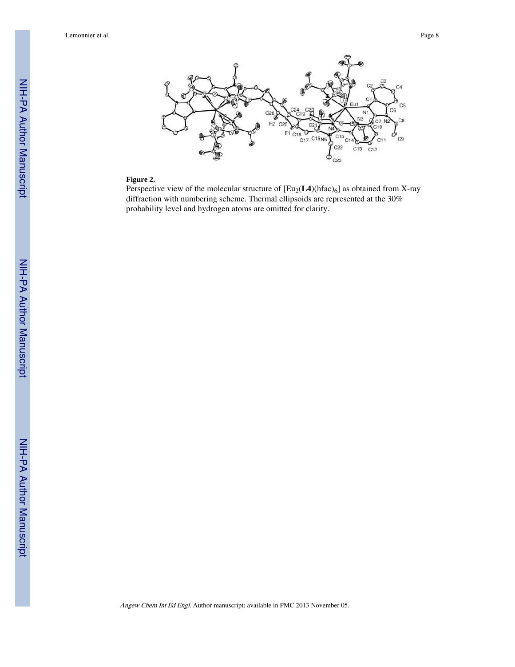Lemonnier et al. Page 8



#### **Figure 2.**

Perspective view of the molecular structure of  $[Eu_2(\mathbf{L4})(hfac)_6]$  as obtained from X-ray diffraction with numbering scheme. Thermal ellipsoids are represented at the 30% probability level and hydrogen atoms are omitted for clarity.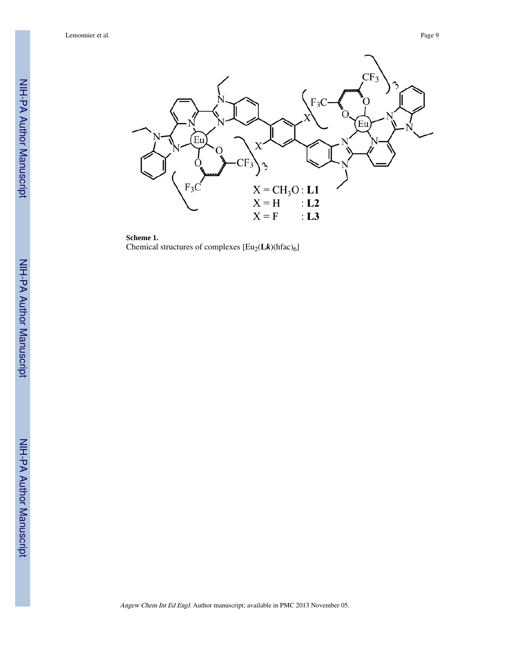Lemonnier et al. Page 9

NIH-PA Author Manuscript

NIH-PA Author Manuscript

NIH-PA Author Manuscript

NIH-PA Author Manuscript



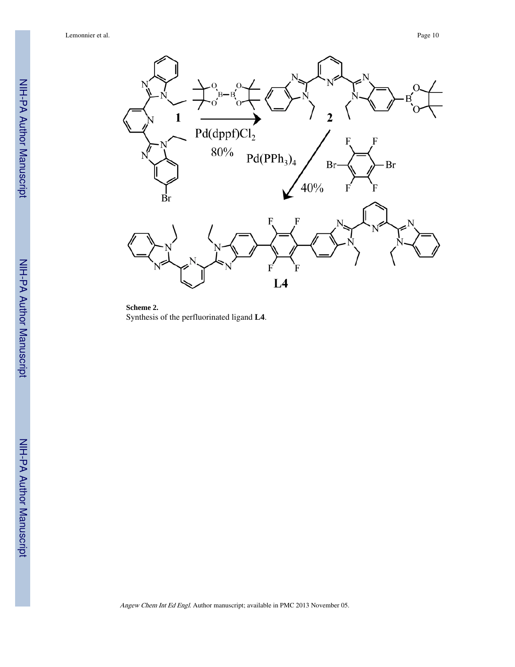